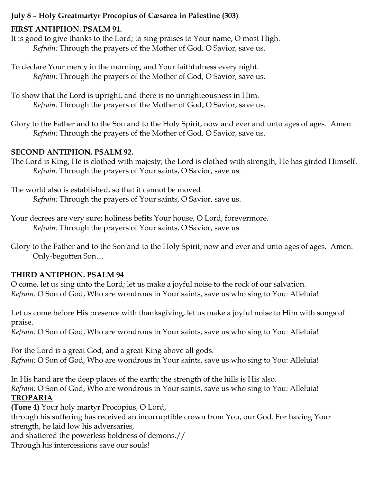#### **July 8 – Holy Greatmartyr Procopius of Cæsarea in Palestine (303)**

#### **FIRST ANTIPHON. PSALM 91.**

It is good to give thanks to the Lord; to sing praises to Your name, O most High. *Refrain:* Through the prayers of the Mother of God, O Savior, save us.

To declare Your mercy in the morning, and Your faithfulness every night. *Refrain:* Through the prayers of the Mother of God, O Savior, save us.

To show that the Lord is upright, and there is no unrighteousness in Him. *Refrain:* Through the prayers of the Mother of God, O Savior, save us.

Glory to the Father and to the Son and to the Holy Spirit, now and ever and unto ages of ages. Amen. *Refrain:* Through the prayers of the Mother of God, O Savior, save us.

#### **SECOND ANTIPHON. PSALM 92.**

The Lord is King, He is clothed with majesty; the Lord is clothed with strength, He has girded Himself. *Refrain:* Through the prayers of Your saints, O Savior, save us.

The world also is established, so that it cannot be moved. *Refrain:* Through the prayers of Your saints, O Savior, save us.

Your decrees are very sure; holiness befits Your house, O Lord, forevermore. *Refrain:* Through the prayers of Your saints, O Savior, save us.

Glory to the Father and to the Son and to the Holy Spirit, now and ever and unto ages of ages. Amen. Only-begotten Son…

#### **THIRD ANTIPHON. PSALM 94**

O come, let us sing unto the Lord; let us make a joyful noise to the rock of our salvation. *Refrain:* O Son of God, Who are wondrous in Your saints, save us who sing to You: Alleluia!

Let us come before His presence with thanksgiving, let us make a joyful noise to Him with songs of praise.

*Refrain:* O Son of God, Who are wondrous in Your saints, save us who sing to You: Alleluia!

For the Lord is a great God, and a great King above all gods. *Refrain:* O Son of God, Who are wondrous in Your saints, save us who sing to You: Alleluia!

In His hand are the deep places of the earth; the strength of the hills is His also. *Refrain:* O Son of God, Who are wondrous in Your saints, save us who sing to You: Alleluia! **TROPARIA**

**(Tone 4)** Your holy martyr Procopius, O Lord,

through his suffering has received an incorruptible crown from You, our God. For having Your strength, he laid low his adversaries,

and shattered the powerless boldness of demons.//

Through his intercessions save our souls!